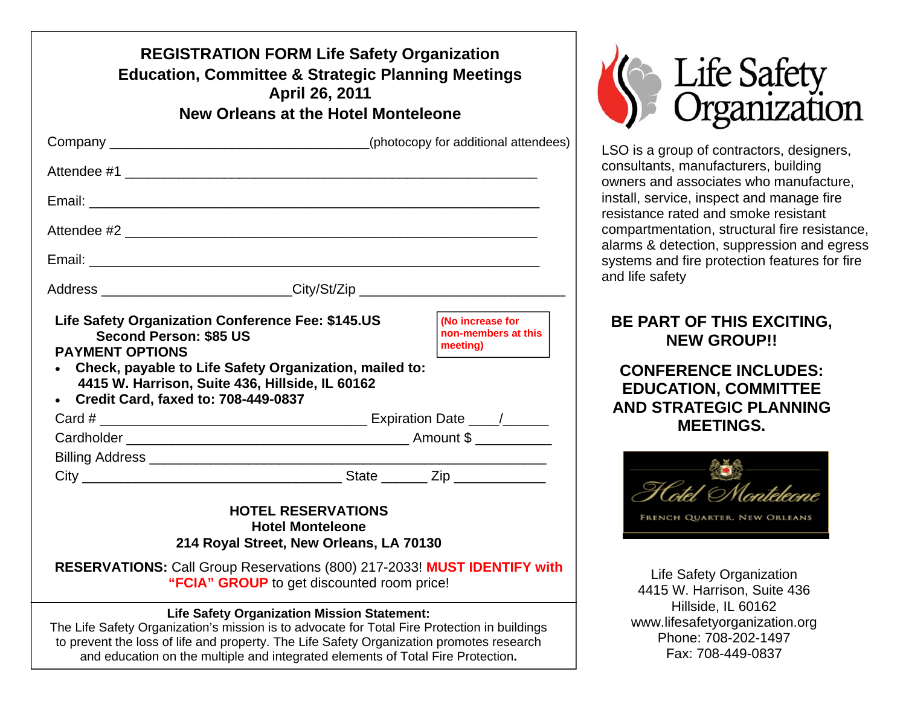| <b>REGISTRATION FORM Life Safety Organization</b><br><b>Education, Committee &amp; Strategic Planning Meetings</b><br>April 26, 2011                                                                                                                                                                                              |  |  |  |
|-----------------------------------------------------------------------------------------------------------------------------------------------------------------------------------------------------------------------------------------------------------------------------------------------------------------------------------|--|--|--|
| <b>New Orleans at the Hotel Monteleone</b>                                                                                                                                                                                                                                                                                        |  |  |  |
|                                                                                                                                                                                                                                                                                                                                   |  |  |  |
|                                                                                                                                                                                                                                                                                                                                   |  |  |  |
|                                                                                                                                                                                                                                                                                                                                   |  |  |  |
|                                                                                                                                                                                                                                                                                                                                   |  |  |  |
|                                                                                                                                                                                                                                                                                                                                   |  |  |  |
| Address __________________________City/St/Zip __________________________________                                                                                                                                                                                                                                                  |  |  |  |
| Life Safety Organization Conference Fee: \$145.US<br>(No increase for<br>non-members at this<br><b>Second Person: \$85 US</b><br>meeting)<br><b>PAYMENT OPTIONS</b><br>Check, payable to Life Safety Organization, mailed to:<br>4415 W. Harrison, Suite 436, Hillside, IL 60162<br><b>Credit Card, faxed to: 708-449-0837</b>    |  |  |  |
|                                                                                                                                                                                                                                                                                                                                   |  |  |  |
|                                                                                                                                                                                                                                                                                                                                   |  |  |  |
|                                                                                                                                                                                                                                                                                                                                   |  |  |  |
|                                                                                                                                                                                                                                                                                                                                   |  |  |  |
| <b>HOTEL RESERVATIONS</b><br><b>Hotel Monteleone</b><br>214 Royal Street, New Orleans, LA 70130                                                                                                                                                                                                                                   |  |  |  |
| <b>RESERVATIONS:</b> Call Group Reservations (800) 217-2033! MUST IDENTIFY with<br>"FCIA" GROUP to get discounted room price!                                                                                                                                                                                                     |  |  |  |
| <b>Life Safety Organization Mission Statement:</b><br>The Life Safety Organization's mission is to advocate for Total Fire Protection in buildings<br>to prevent the loss of life and property. The Life Safety Organization promotes research<br>and education on the multiple and integrated elements of Total Fire Protection. |  |  |  |



LSO is a group of contractors, designers, consultants, manufacturers, building owners and associates who manufacture, install, service, inspect and manage fire resistance rated and smoke resistant compartmentation, structural fire resistance, alarms & detection, suppression and egress systems and fire protection features for fire and life safety

## **BE PART OF THIS EXCITING, NEW GROUP!!**

**CONFERENCE INCLUDES: EDUCATION, COMMITTEE AND STRATEGIC PLANNING MEETINGS.** 



Life Safety Organization 4415 W. Harrison, Suite 436 Hillside, IL 60162 www.lifesafetyorganization.org Phone: 708-202-1497 Fax: 708-449-0837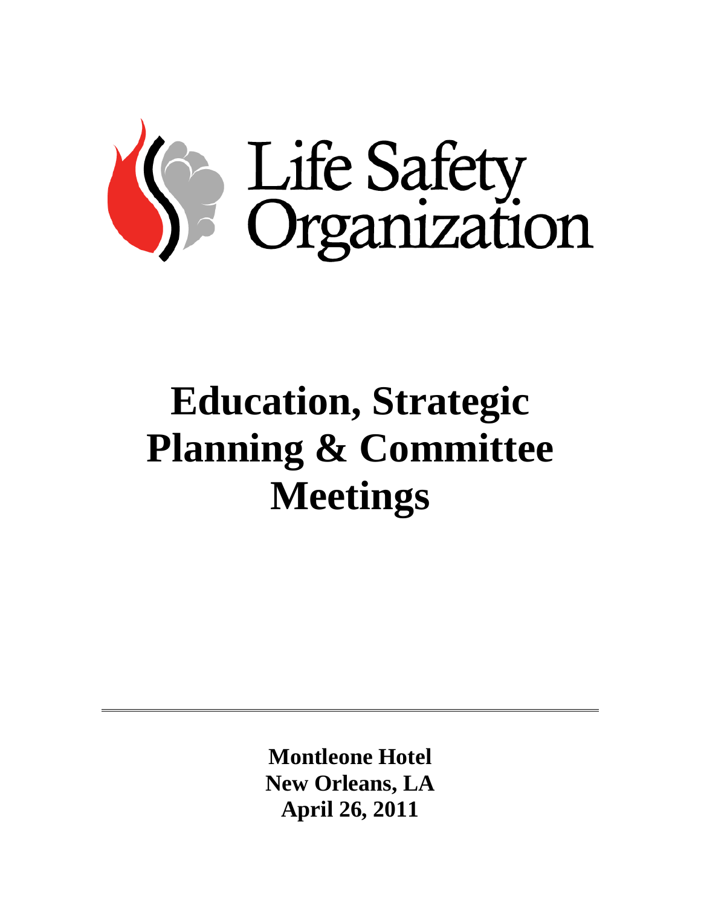

# **Education, Strategic Planning & Committee Meetings**

**Montleone Hotel New Orleans, LA April 26, 2011**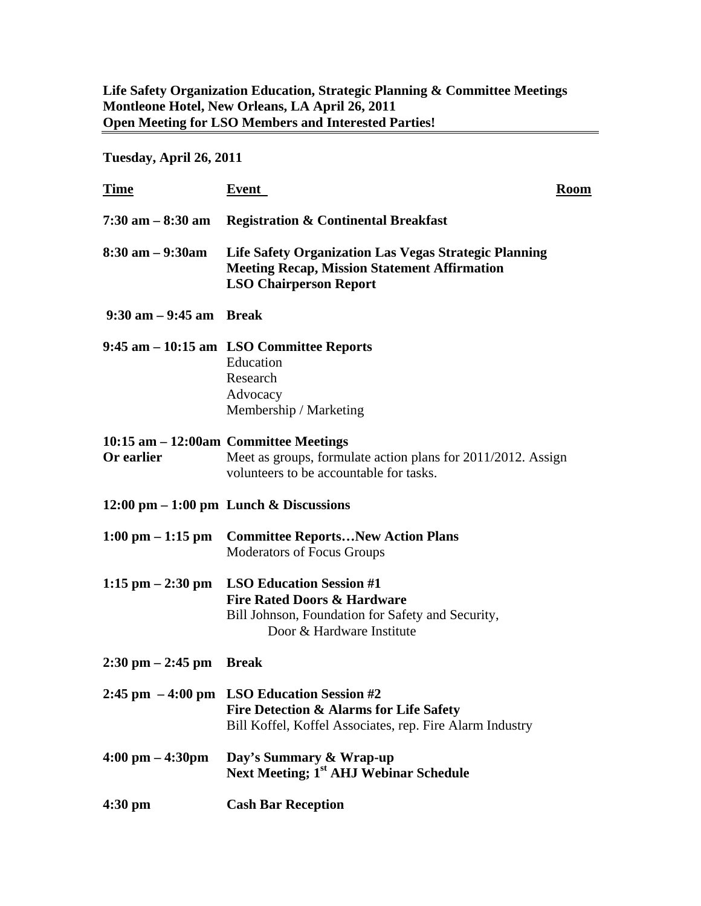#### **Life Safety Organization Education, Strategic Planning & Committee Meetings Montleone Hotel, New Orleans, LA April 26, 2011 Open Meeting for LSO Members and Interested Parties!**

**Tuesday, April 26, 2011** 

| <b>Time</b>                               | <b>Event</b><br><b>Room</b>                                                                                                                                             |  |
|-------------------------------------------|-------------------------------------------------------------------------------------------------------------------------------------------------------------------------|--|
| $7:30$ am $-8:30$ am                      | <b>Registration &amp; Continental Breakfast</b>                                                                                                                         |  |
| $8:30 \text{ am} - 9:30 \text{am}$        | <b>Life Safety Organization Las Vegas Strategic Planning</b><br><b>Meeting Recap, Mission Statement Affirmation</b><br><b>LSO Chairperson Report</b>                    |  |
| $9:30$ am $-9:45$ am Break                |                                                                                                                                                                         |  |
|                                           | 9:45 am – 10:15 am LSO Committee Reports<br>Education<br>Research<br>Advocacy<br>Membership / Marketing                                                                 |  |
| Or earlier                                | 10:15 am - 12:00am Committee Meetings<br>Meet as groups, formulate action plans for 2011/2012. Assign<br>volunteers to be accountable for tasks.                        |  |
|                                           | $12:00 \text{ pm} - 1:00 \text{ pm}$ Lunch & Discussions                                                                                                                |  |
|                                           | 1:00 pm – 1:15 pm Committee Reports New Action Plans<br><b>Moderators of Focus Groups</b>                                                                               |  |
|                                           | 1:15 pm $-2:30$ pm LSO Education Session #1<br><b>Fire Rated Doors &amp; Hardware</b><br>Bill Johnson, Foundation for Safety and Security,<br>Door & Hardware Institute |  |
| $2:30 \text{ pm} - 2:45 \text{ pm}$ Break |                                                                                                                                                                         |  |
|                                           | 2:45 pm $-4:00$ pm LSO Education Session #2<br>Fire Detection & Alarms for Life Safety<br>Bill Koffel, Koffel Associates, rep. Fire Alarm Industry                      |  |
| $4:00 \text{ pm} - 4:30 \text{pm}$        | Day's Summary & Wrap-up<br>Next Meeting; 1 <sup>st</sup> AHJ Webinar Schedule                                                                                           |  |
| $4:30$ pm                                 | <b>Cash Bar Reception</b>                                                                                                                                               |  |